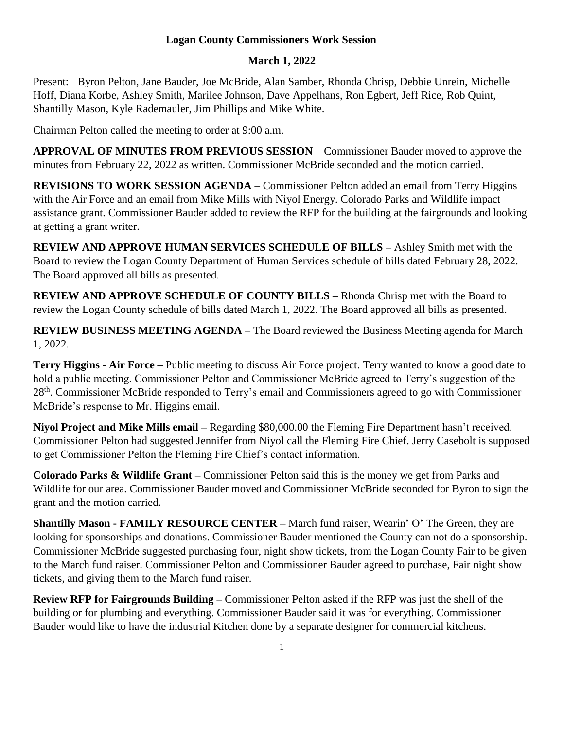## **Logan County Commissioners Work Session**

## **March 1, 2022**

Present: Byron Pelton, Jane Bauder, Joe McBride, Alan Samber, Rhonda Chrisp, Debbie Unrein, Michelle Hoff, Diana Korbe, Ashley Smith, Marilee Johnson, Dave Appelhans, Ron Egbert, Jeff Rice, Rob Quint, Shantilly Mason, Kyle Rademauler, Jim Phillips and Mike White.

Chairman Pelton called the meeting to order at 9:00 a.m.

**APPROVAL OF MINUTES FROM PREVIOUS SESSION** – Commissioner Bauder moved to approve the minutes from February 22, 2022 as written. Commissioner McBride seconded and the motion carried.

**REVISIONS TO WORK SESSION AGENDA** – Commissioner Pelton added an email from Terry Higgins with the Air Force and an email from Mike Mills with Niyol Energy. Colorado Parks and Wildlife impact assistance grant. Commissioner Bauder added to review the RFP for the building at the fairgrounds and looking at getting a grant writer.

**REVIEW AND APPROVE HUMAN SERVICES SCHEDULE OF BILLS –** Ashley Smith met with the Board to review the Logan County Department of Human Services schedule of bills dated February 28, 2022. The Board approved all bills as presented.

**REVIEW AND APPROVE SCHEDULE OF COUNTY BILLS –** Rhonda Chrisp met with the Board to review the Logan County schedule of bills dated March 1, 2022. The Board approved all bills as presented.

**REVIEW BUSINESS MEETING AGENDA –** The Board reviewed the Business Meeting agenda for March 1, 2022.

**Terry Higgins - Air Force –** Public meeting to discuss Air Force project. Terry wanted to know a good date to hold a public meeting. Commissioner Pelton and Commissioner McBride agreed to Terry's suggestion of the 28<sup>th</sup>. Commissioner McBride responded to Terry's email and Commissioners agreed to go with Commissioner McBride's response to Mr. Higgins email.

**Niyol Project and Mike Mills email –** Regarding \$80,000.00 the Fleming Fire Department hasn't received. Commissioner Pelton had suggested Jennifer from Niyol call the Fleming Fire Chief. Jerry Casebolt is supposed to get Commissioner Pelton the Fleming Fire Chief's contact information.

**Colorado Parks & Wildlife Grant –** Commissioner Pelton said this is the money we get from Parks and Wildlife for our area. Commissioner Bauder moved and Commissioner McBride seconded for Byron to sign the grant and the motion carried.

**Shantilly Mason - FAMILY RESOURCE CENTER –** March fund raiser, Wearin' O' The Green, they are looking for sponsorships and donations. Commissioner Bauder mentioned the County can not do a sponsorship. Commissioner McBride suggested purchasing four, night show tickets, from the Logan County Fair to be given to the March fund raiser. Commissioner Pelton and Commissioner Bauder agreed to purchase, Fair night show tickets, and giving them to the March fund raiser.

**Review RFP for Fairgrounds Building –** Commissioner Pelton asked if the RFP was just the shell of the building or for plumbing and everything. Commissioner Bauder said it was for everything. Commissioner Bauder would like to have the industrial Kitchen done by a separate designer for commercial kitchens.